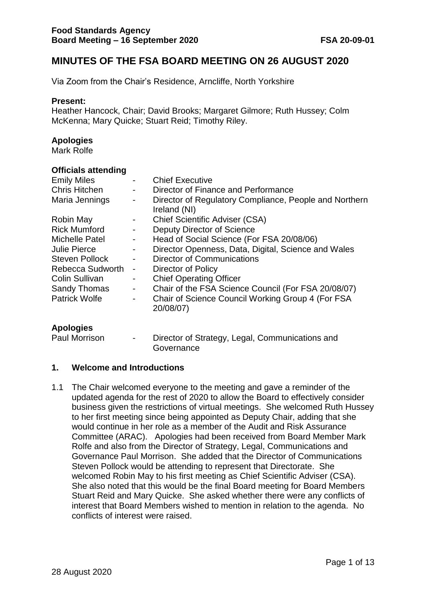# **MINUTES OF THE FSA BOARD MEETING ON 26 AUGUST 2020**

Via Zoom from the Chair's Residence, Arncliffe, North Yorkshire

#### **Present:**

Heather Hancock, Chair; David Brooks; Margaret Gilmore; Ruth Hussey; Colm McKenna; Mary Quicke; Stuart Reid; Timothy Riley.

#### **Apologies**

Mark Rolfe

#### **Officials attending**

| <b>Emily Miles</b>                      | $\overline{\phantom{a}}$           | <b>Chief Executive</b>                                                              |
|-----------------------------------------|------------------------------------|-------------------------------------------------------------------------------------|
| <b>Chris Hitchen</b>                    | $\blacksquare$                     | Director of Finance and Performance                                                 |
| Maria Jennings                          | $\overline{\phantom{a}}$           | Director of Regulatory Compliance, People and Northern                              |
| <b>Robin May</b><br><b>Rick Mumford</b> | $\sim$<br>$\overline{\phantom{a}}$ | Ireland (NI)<br><b>Chief Scientific Adviser (CSA)</b><br>Deputy Director of Science |
| <b>Michelle Patel</b>                   | $\sim$                             | Head of Social Science (For FSA 20/08/06)                                           |
| <b>Julie Pierce</b>                     | $\blacksquare$                     | Director Openness, Data, Digital, Science and Wales                                 |
| <b>Steven Pollock</b>                   | $\blacksquare$                     | <b>Director of Communications</b>                                                   |
| Rebecca Sudworth                        | $\blacksquare$                     | Director of Policy                                                                  |
| <b>Colin Sullivan</b>                   | $\overline{\phantom{a}}$           | <b>Chief Operating Officer</b>                                                      |
| <b>Sandy Thomas</b>                     | $\blacksquare$                     | Chair of the FSA Science Council (For FSA 20/08/07)                                 |
| <b>Patrick Wolfe</b>                    | $\blacksquare$                     | Chair of Science Council Working Group 4 (For FSA<br>20/08/07)                      |

#### **Apologies**

Paul Morrison - Director of Strategy, Legal, Communications and Governance

#### **1. Welcome and Introductions**

1.1 The Chair welcomed everyone to the meeting and gave a reminder of the updated agenda for the rest of 2020 to allow the Board to effectively consider business given the restrictions of virtual meetings. She welcomed Ruth Hussey to her first meeting since being appointed as Deputy Chair, adding that she would continue in her role as a member of the Audit and Risk Assurance Committee (ARAC). Apologies had been received from Board Member Mark Rolfe and also from the Director of Strategy, Legal, Communications and Governance Paul Morrison. She added that the Director of Communications Steven Pollock would be attending to represent that Directorate. She welcomed Robin May to his first meeting as Chief Scientific Adviser (CSA). She also noted that this would be the final Board meeting for Board Members Stuart Reid and Mary Quicke. She asked whether there were any conflicts of interest that Board Members wished to mention in relation to the agenda. No conflicts of interest were raised.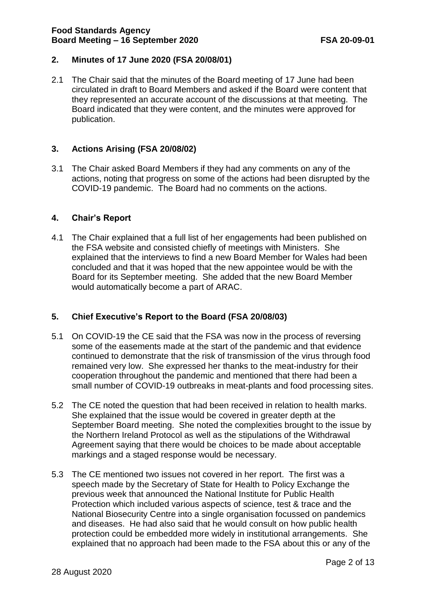#### **2. Minutes of 17 June 2020 (FSA 20/08/01)**

2.1 The Chair said that the minutes of the Board meeting of 17 June had been circulated in draft to Board Members and asked if the Board were content that they represented an accurate account of the discussions at that meeting. The Board indicated that they were content, and the minutes were approved for publication.

## **3. Actions Arising (FSA 20/08/02)**

3.1 The Chair asked Board Members if they had any comments on any of the actions, noting that progress on some of the actions had been disrupted by the COVID-19 pandemic. The Board had no comments on the actions.

#### **4. Chair's Report**

4.1 The Chair explained that a full list of her engagements had been published on the FSA website and consisted chiefly of meetings with Ministers. She explained that the interviews to find a new Board Member for Wales had been concluded and that it was hoped that the new appointee would be with the Board for its September meeting. She added that the new Board Member would automatically become a part of ARAC.

## **5. Chief Executive's Report to the Board (FSA 20/08/03)**

- 5.1 On COVID-19 the CE said that the FSA was now in the process of reversing some of the easements made at the start of the pandemic and that evidence continued to demonstrate that the risk of transmission of the virus through food remained very low. She expressed her thanks to the meat-industry for their cooperation throughout the pandemic and mentioned that there had been a small number of COVID-19 outbreaks in meat-plants and food processing sites.
- 5.2 The CE noted the question that had been received in relation to health marks. She explained that the issue would be covered in greater depth at the September Board meeting. She noted the complexities brought to the issue by the Northern Ireland Protocol as well as the stipulations of the Withdrawal Agreement saying that there would be choices to be made about acceptable markings and a staged response would be necessary.
- 5.3 The CE mentioned two issues not covered in her report. The first was a speech made by the Secretary of State for Health to Policy Exchange the previous week that announced the National Institute for Public Health Protection which included various aspects of science, test & trace and the National Biosecurity Centre into a single organisation focussed on pandemics and diseases. He had also said that he would consult on how public health protection could be embedded more widely in institutional arrangements. She explained that no approach had been made to the FSA about this or any of the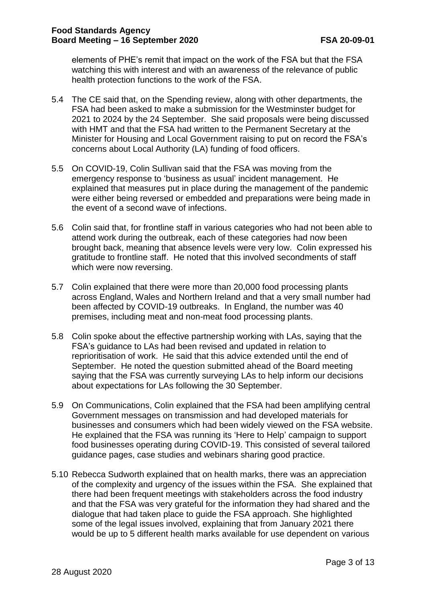elements of PHE's remit that impact on the work of the FSA but that the FSA watching this with interest and with an awareness of the relevance of public health protection functions to the work of the FSA.

- 5.4 The CE said that, on the Spending review, along with other departments, the FSA had been asked to make a submission for the Westminster budget for 2021 to 2024 by the 24 September. She said proposals were being discussed with HMT and that the FSA had written to the Permanent Secretary at the Minister for Housing and Local Government raising to put on record the FSA's concerns about Local Authority (LA) funding of food officers.
- 5.5 On COVID-19, Colin Sullivan said that the FSA was moving from the emergency response to 'business as usual' incident management. He explained that measures put in place during the management of the pandemic were either being reversed or embedded and preparations were being made in the event of a second wave of infections.
- 5.6 Colin said that, for frontline staff in various categories who had not been able to attend work during the outbreak, each of these categories had now been brought back, meaning that absence levels were very low. Colin expressed his gratitude to frontline staff. He noted that this involved secondments of staff which were now reversing.
- 5.7 Colin explained that there were more than 20,000 food processing plants across England, Wales and Northern Ireland and that a very small number had been affected by COVID-19 outbreaks. In England, the number was 40 premises, including meat and non-meat food processing plants.
- 5.8 Colin spoke about the effective partnership working with LAs, saying that the FSA's guidance to LAs had been revised and updated in relation to reprioritisation of work. He said that this advice extended until the end of September. He noted the question submitted ahead of the Board meeting saying that the FSA was currently surveying LAs to help inform our decisions about expectations for LAs following the 30 September.
- 5.9 On Communications, Colin explained that the FSA had been amplifying central Government messages on transmission and had developed materials for businesses and consumers which had been widely viewed on the FSA website. He explained that the FSA was running its 'Here to Help' campaign to support food businesses operating during COVID-19. This consisted of several tailored guidance pages, case studies and webinars sharing good practice.
- 5.10 Rebecca Sudworth explained that on health marks, there was an appreciation of the complexity and urgency of the issues within the FSA. She explained that there had been frequent meetings with stakeholders across the food industry and that the FSA was very grateful for the information they had shared and the dialogue that had taken place to guide the FSA approach. She highlighted some of the legal issues involved, explaining that from January 2021 there would be up to 5 different health marks available for use dependent on various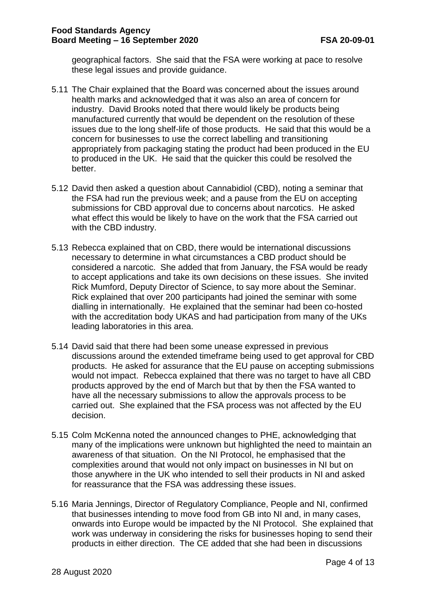geographical factors. She said that the FSA were working at pace to resolve these legal issues and provide guidance.

- 5.11 The Chair explained that the Board was concerned about the issues around health marks and acknowledged that it was also an area of concern for industry. David Brooks noted that there would likely be products being manufactured currently that would be dependent on the resolution of these issues due to the long shelf-life of those products. He said that this would be a concern for businesses to use the correct labelling and transitioning appropriately from packaging stating the product had been produced in the EU to produced in the UK. He said that the quicker this could be resolved the better.
- 5.12 David then asked a question about Cannabidiol (CBD), noting a seminar that the FSA had run the previous week; and a pause from the EU on accepting submissions for CBD approval due to concerns about narcotics. He asked what effect this would be likely to have on the work that the FSA carried out with the CBD industry.
- 5.13 Rebecca explained that on CBD, there would be international discussions necessary to determine in what circumstances a CBD product should be considered a narcotic. She added that from January, the FSA would be ready to accept applications and take its own decisions on these issues. She invited Rick Mumford, Deputy Director of Science, to say more about the Seminar. Rick explained that over 200 participants had joined the seminar with some dialling in internationally. He explained that the seminar had been co-hosted with the accreditation body UKAS and had participation from many of the UKs leading laboratories in this area.
- 5.14 David said that there had been some unease expressed in previous discussions around the extended timeframe being used to get approval for CBD products. He asked for assurance that the EU pause on accepting submissions would not impact. Rebecca explained that there was no target to have all CBD products approved by the end of March but that by then the FSA wanted to have all the necessary submissions to allow the approvals process to be carried out. She explained that the FSA process was not affected by the EU decision.
- 5.15 Colm McKenna noted the announced changes to PHE, acknowledging that many of the implications were unknown but highlighted the need to maintain an awareness of that situation. On the NI Protocol, he emphasised that the complexities around that would not only impact on businesses in NI but on those anywhere in the UK who intended to sell their products in NI and asked for reassurance that the FSA was addressing these issues.
- 5.16 Maria Jennings, Director of Regulatory Compliance, People and NI, confirmed that businesses intending to move food from GB into NI and, in many cases, onwards into Europe would be impacted by the NI Protocol. She explained that work was underway in considering the risks for businesses hoping to send their products in either direction. The CE added that she had been in discussions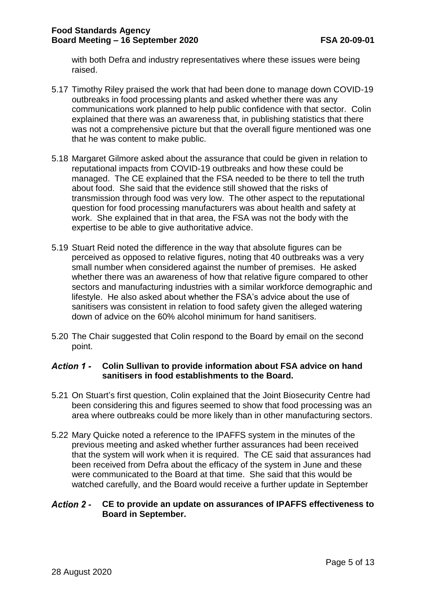with both Defra and industry representatives where these issues were being raised.

- 5.17 Timothy Riley praised the work that had been done to manage down COVID-19 outbreaks in food processing plants and asked whether there was any communications work planned to help public confidence with that sector. Colin explained that there was an awareness that, in publishing statistics that there was not a comprehensive picture but that the overall figure mentioned was one that he was content to make public.
- 5.18 Margaret Gilmore asked about the assurance that could be given in relation to reputational impacts from COVID-19 outbreaks and how these could be managed. The CE explained that the FSA needed to be there to tell the truth about food. She said that the evidence still showed that the risks of transmission through food was very low. The other aspect to the reputational question for food processing manufacturers was about health and safety at work. She explained that in that area, the FSA was not the body with the expertise to be able to give authoritative advice.
- 5.19 Stuart Reid noted the difference in the way that absolute figures can be perceived as opposed to relative figures, noting that 40 outbreaks was a very small number when considered against the number of premises. He asked whether there was an awareness of how that relative figure compared to other sectors and manufacturing industries with a similar workforce demographic and lifestyle. He also asked about whether the FSA's advice about the use of sanitisers was consistent in relation to food safety given the alleged watering down of advice on the 60% alcohol minimum for hand sanitisers.
- 5.20 The Chair suggested that Colin respond to the Board by email on the second point.

#### **Action 1 -Colin Sullivan to provide information about FSA advice on hand sanitisers in food establishments to the Board.**

- 5.21 On Stuart's first question, Colin explained that the Joint Biosecurity Centre had been considering this and figures seemed to show that food processing was an area where outbreaks could be more likely than in other manufacturing sectors.
- 5.22 Mary Quicke noted a reference to the IPAFFS system in the minutes of the previous meeting and asked whether further assurances had been received that the system will work when it is required. The CE said that assurances had been received from Defra about the efficacy of the system in June and these were communicated to the Board at that time. She said that this would be watched carefully, and the Board would receive a further update in September

#### **Action 2 -CE to provide an update on assurances of IPAFFS effectiveness to Board in September.**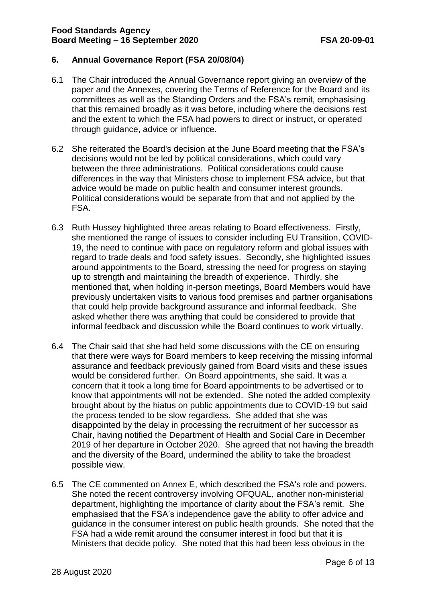#### **6. Annual Governance Report (FSA 20/08/04)**

- 6.1 The Chair introduced the Annual Governance report giving an overview of the paper and the Annexes, covering the Terms of Reference for the Board and its committees as well as the Standing Orders and the FSA's remit, emphasising that this remained broadly as it was before, including where the decisions rest and the extent to which the FSA had powers to direct or instruct, or operated through guidance, advice or influence.
- 6.2 She reiterated the Board's decision at the June Board meeting that the FSA's decisions would not be led by political considerations, which could vary between the three administrations. Political considerations could cause differences in the way that Ministers chose to implement FSA advice, but that advice would be made on public health and consumer interest grounds. Political considerations would be separate from that and not applied by the FSA.
- 6.3 Ruth Hussey highlighted three areas relating to Board effectiveness. Firstly, she mentioned the range of issues to consider including EU Transition, COVID-19, the need to continue with pace on regulatory reform and global issues with regard to trade deals and food safety issues. Secondly, she highlighted issues around appointments to the Board, stressing the need for progress on staying up to strength and maintaining the breadth of experience. Thirdly, she mentioned that, when holding in-person meetings, Board Members would have previously undertaken visits to various food premises and partner organisations that could help provide background assurance and informal feedback. She asked whether there was anything that could be considered to provide that informal feedback and discussion while the Board continues to work virtually.
- 6.4 The Chair said that she had held some discussions with the CE on ensuring that there were ways for Board members to keep receiving the missing informal assurance and feedback previously gained from Board visits and these issues would be considered further. On Board appointments, she said. It was a concern that it took a long time for Board appointments to be advertised or to know that appointments will not be extended. She noted the added complexity brought about by the hiatus on public appointments due to COVID-19 but said the process tended to be slow regardless. She added that she was disappointed by the delay in processing the recruitment of her successor as Chair, having notified the Department of Health and Social Care in December 2019 of her departure in October 2020. She agreed that not having the breadth and the diversity of the Board, undermined the ability to take the broadest possible view.
- 6.5 The CE commented on Annex E, which described the FSA's role and powers. She noted the recent controversy involving OFQUAL, another non-ministerial department, highlighting the importance of clarity about the FSA's remit. She emphasised that the FSA's independence gave the ability to offer advice and guidance in the consumer interest on public health grounds. She noted that the FSA had a wide remit around the consumer interest in food but that it is Ministers that decide policy. She noted that this had been less obvious in the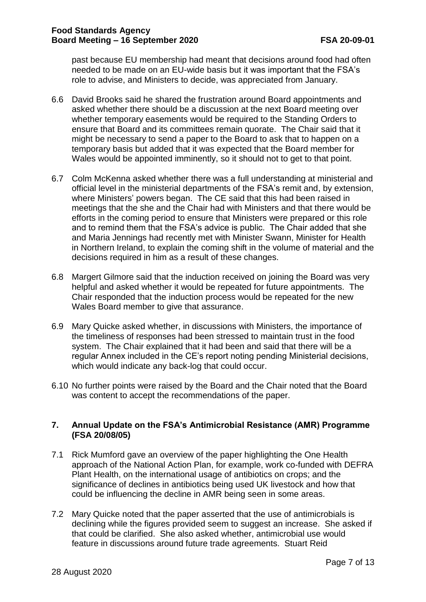past because EU membership had meant that decisions around food had often needed to be made on an EU-wide basis but it was important that the FSA's role to advise, and Ministers to decide, was appreciated from January.

- 6.6 David Brooks said he shared the frustration around Board appointments and asked whether there should be a discussion at the next Board meeting over whether temporary easements would be required to the Standing Orders to ensure that Board and its committees remain quorate. The Chair said that it might be necessary to send a paper to the Board to ask that to happen on a temporary basis but added that it was expected that the Board member for Wales would be appointed imminently, so it should not to get to that point.
- 6.7 Colm McKenna asked whether there was a full understanding at ministerial and official level in the ministerial departments of the FSA's remit and, by extension, where Ministers' powers began. The CE said that this had been raised in meetings that the she and the Chair had with Ministers and that there would be efforts in the coming period to ensure that Ministers were prepared or this role and to remind them that the FSA's advice is public. The Chair added that she and Maria Jennings had recently met with Minister Swann, Minister for Health in Northern Ireland, to explain the coming shift in the volume of material and the decisions required in him as a result of these changes.
- 6.8 Margert Gilmore said that the induction received on joining the Board was very helpful and asked whether it would be repeated for future appointments. The Chair responded that the induction process would be repeated for the new Wales Board member to give that assurance.
- 6.9 Mary Quicke asked whether, in discussions with Ministers, the importance of the timeliness of responses had been stressed to maintain trust in the food system. The Chair explained that it had been and said that there will be a regular Annex included in the CE's report noting pending Ministerial decisions, which would indicate any back-log that could occur.
- 6.10 No further points were raised by the Board and the Chair noted that the Board was content to accept the recommendations of the paper.

#### **7. Annual Update on the FSA's Antimicrobial Resistance (AMR) Programme (FSA 20/08/05)**

- 7.1 Rick Mumford gave an overview of the paper highlighting the One Health approach of the National Action Plan, for example, work co-funded with DEFRA Plant Health, on the international usage of antibiotics on crops; and the significance of declines in antibiotics being used UK livestock and how that could be influencing the decline in AMR being seen in some areas.
- 7.2 Mary Quicke noted that the paper asserted that the use of antimicrobials is declining while the figures provided seem to suggest an increase. She asked if that could be clarified. She also asked whether, antimicrobial use would feature in discussions around future trade agreements. Stuart Reid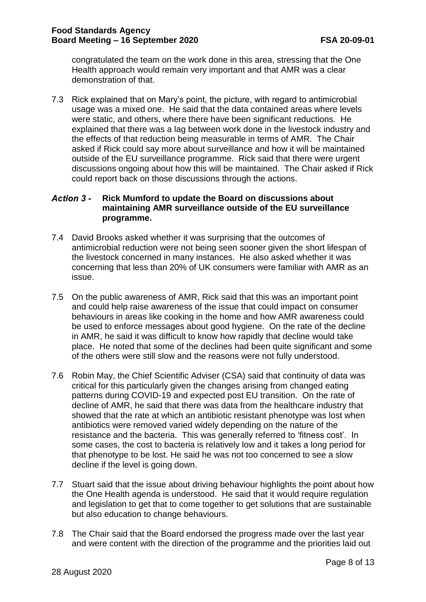congratulated the team on the work done in this area, stressing that the One Health approach would remain very important and that AMR was a clear demonstration of that.

7.3 Rick explained that on Mary's point, the picture, with regard to antimicrobial usage was a mixed one. He said that the data contained areas where levels were static, and others, where there have been significant reductions. He explained that there was a lag between work done in the livestock industry and the effects of that reduction being measurable in terms of AMR. The Chair asked if Rick could say more about surveillance and how it will be maintained outside of the EU surveillance programme. Rick said that there were urgent discussions ongoing about how this will be maintained. The Chair asked if Rick could report back on those discussions through the actions.

#### **Action 3 -Rick Mumford to update the Board on discussions about maintaining AMR surveillance outside of the EU surveillance programme.**

- 7.4 David Brooks asked whether it was surprising that the outcomes of antimicrobial reduction were not being seen sooner given the short lifespan of the livestock concerned in many instances. He also asked whether it was concerning that less than 20% of UK consumers were familiar with AMR as an issue.
- 7.5 On the public awareness of AMR, Rick said that this was an important point and could help raise awareness of the issue that could impact on consumer behaviours in areas like cooking in the home and how AMR awareness could be used to enforce messages about good hygiene. On the rate of the decline in AMR, he said it was difficult to know how rapidly that decline would take place. He noted that some of the declines had been quite significant and some of the others were still slow and the reasons were not fully understood.
- 7.6 Robin May, the Chief Scientific Adviser (CSA) said that continuity of data was critical for this particularly given the changes arising from changed eating patterns during COVID-19 and expected post EU transition. On the rate of decline of AMR, he said that there was data from the healthcare industry that showed that the rate at which an antibiotic resistant phenotype was lost when antibiotics were removed varied widely depending on the nature of the resistance and the bacteria. This was generally referred to 'fitness cost'. In some cases, the cost to bacteria is relatively low and it takes a long period for that phenotype to be lost. He said he was not too concerned to see a slow decline if the level is going down.
- 7.7 Stuart said that the issue about driving behaviour highlights the point about how the One Health agenda is understood. He said that it would require regulation and legislation to get that to come together to get solutions that are sustainable but also education to change behaviours.
- 7.8 The Chair said that the Board endorsed the progress made over the last year and were content with the direction of the programme and the priorities laid out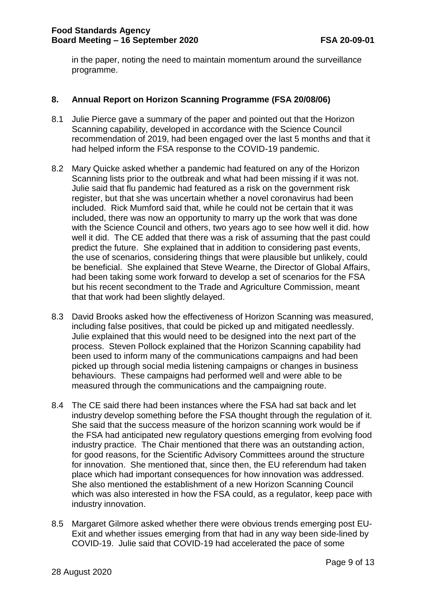in the paper, noting the need to maintain momentum around the surveillance programme.

## **8. Annual Report on Horizon Scanning Programme (FSA 20/08/06)**

- 8.1 Julie Pierce gave a summary of the paper and pointed out that the Horizon Scanning capability, developed in accordance with the Science Council recommendation of 2019, had been engaged over the last 5 months and that it had helped inform the FSA response to the COVID-19 pandemic.
- 8.2 Mary Quicke asked whether a pandemic had featured on any of the Horizon Scanning lists prior to the outbreak and what had been missing if it was not. Julie said that flu pandemic had featured as a risk on the government risk register, but that she was uncertain whether a novel coronavirus had been included. Rick Mumford said that, while he could not be certain that it was included, there was now an opportunity to marry up the work that was done with the Science Council and others, two years ago to see how well it did. how well it did. The CE added that there was a risk of assuming that the past could predict the future. She explained that in addition to considering past events, the use of scenarios, considering things that were plausible but unlikely, could be beneficial. She explained that Steve Wearne, the Director of Global Affairs, had been taking some work forward to develop a set of scenarios for the FSA but his recent secondment to the Trade and Agriculture Commission, meant that that work had been slightly delayed.
- 8.3 David Brooks asked how the effectiveness of Horizon Scanning was measured, including false positives, that could be picked up and mitigated needlessly. Julie explained that this would need to be designed into the next part of the process. Steven Pollock explained that the Horizon Scanning capability had been used to inform many of the communications campaigns and had been picked up through social media listening campaigns or changes in business behaviours. These campaigns had performed well and were able to be measured through the communications and the campaigning route.
- 8.4 The CE said there had been instances where the FSA had sat back and let industry develop something before the FSA thought through the regulation of it. She said that the success measure of the horizon scanning work would be if the FSA had anticipated new regulatory questions emerging from evolving food industry practice. The Chair mentioned that there was an outstanding action, for good reasons, for the Scientific Advisory Committees around the structure for innovation. She mentioned that, since then, the EU referendum had taken place which had important consequences for how innovation was addressed. She also mentioned the establishment of a new Horizon Scanning Council which was also interested in how the FSA could, as a regulator, keep pace with industry innovation.
- 8.5 Margaret Gilmore asked whether there were obvious trends emerging post EU-Exit and whether issues emerging from that had in any way been side-lined by COVID-19. Julie said that COVID-19 had accelerated the pace of some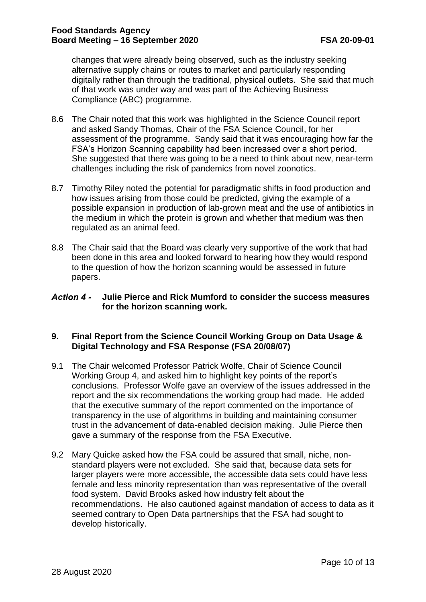changes that were already being observed, such as the industry seeking alternative supply chains or routes to market and particularly responding digitally rather than through the traditional, physical outlets. She said that much of that work was under way and was part of the Achieving Business Compliance (ABC) programme.

- 8.6 The Chair noted that this work was highlighted in the Science Council report and asked Sandy Thomas, Chair of the FSA Science Council, for her assessment of the programme. Sandy said that it was encouraging how far the FSA's Horizon Scanning capability had been increased over a short period. She suggested that there was going to be a need to think about new, near-term challenges including the risk of pandemics from novel zoonotics.
- 8.7 Timothy Riley noted the potential for paradigmatic shifts in food production and how issues arising from those could be predicted, giving the example of a possible expansion in production of lab-grown meat and the use of antibiotics in the medium in which the protein is grown and whether that medium was then regulated as an animal feed.
- 8.8 The Chair said that the Board was clearly very supportive of the work that had been done in this area and looked forward to hearing how they would respond to the question of how the horizon scanning would be assessed in future papers.

## **Julie Pierce and Rick Mumford to consider the success measures for the horizon scanning work.**

## **9. Final Report from the Science Council Working Group on Data Usage & Digital Technology and FSA Response (FSA 20/08/07)**

- 9.1 The Chair welcomed Professor Patrick Wolfe, Chair of Science Council Working Group 4, and asked him to highlight key points of the report's conclusions. Professor Wolfe gave an overview of the issues addressed in the report and the six recommendations the working group had made. He added that the executive summary of the report commented on the importance of transparency in the use of algorithms in building and maintaining consumer trust in the advancement of data-enabled decision making. Julie Pierce then gave a summary of the response from the FSA Executive.
- 9.2 Mary Quicke asked how the FSA could be assured that small, niche, nonstandard players were not excluded. She said that, because data sets for larger players were more accessible, the accessible data sets could have less female and less minority representation than was representative of the overall food system. David Brooks asked how industry felt about the recommendations. He also cautioned against mandation of access to data as it seemed contrary to Open Data partnerships that the FSA had sought to develop historically.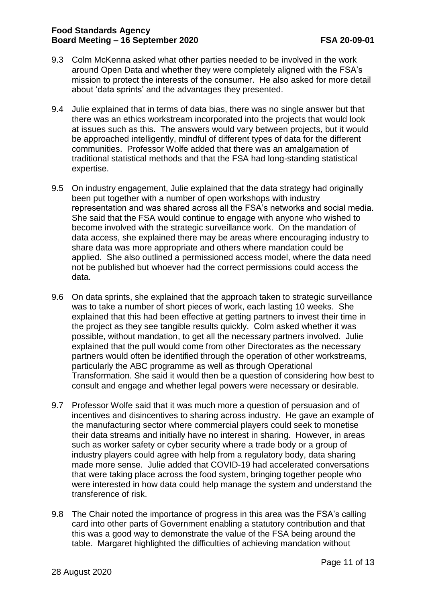- 9.3 Colm McKenna asked what other parties needed to be involved in the work around Open Data and whether they were completely aligned with the FSA's mission to protect the interests of the consumer. He also asked for more detail about 'data sprints' and the advantages they presented.
- 9.4 Julie explained that in terms of data bias, there was no single answer but that there was an ethics workstream incorporated into the projects that would look at issues such as this. The answers would vary between projects, but it would be approached intelligently, mindful of different types of data for the different communities. Professor Wolfe added that there was an amalgamation of traditional statistical methods and that the FSA had long-standing statistical expertise.
- 9.5 On industry engagement, Julie explained that the data strategy had originally been put together with a number of open workshops with industry representation and was shared across all the FSA's networks and social media. She said that the FSA would continue to engage with anyone who wished to become involved with the strategic surveillance work. On the mandation of data access, she explained there may be areas where encouraging industry to share data was more appropriate and others where mandation could be applied. She also outlined a permissioned access model, where the data need not be published but whoever had the correct permissions could access the data.
- 9.6 On data sprints, she explained that the approach taken to strategic surveillance was to take a number of short pieces of work, each lasting 10 weeks. She explained that this had been effective at getting partners to invest their time in the project as they see tangible results quickly. Colm asked whether it was possible, without mandation, to get all the necessary partners involved. Julie explained that the pull would come from other Directorates as the necessary partners would often be identified through the operation of other workstreams, particularly the ABC programme as well as through Operational Transformation. She said it would then be a question of considering how best to consult and engage and whether legal powers were necessary or desirable.
- 9.7 Professor Wolfe said that it was much more a question of persuasion and of incentives and disincentives to sharing across industry. He gave an example of the manufacturing sector where commercial players could seek to monetise their data streams and initially have no interest in sharing. However, in areas such as worker safety or cyber security where a trade body or a group of industry players could agree with help from a regulatory body, data sharing made more sense. Julie added that COVID-19 had accelerated conversations that were taking place across the food system, bringing together people who were interested in how data could help manage the system and understand the transference of risk.
- 9.8 The Chair noted the importance of progress in this area was the FSA's calling card into other parts of Government enabling a statutory contribution and that this was a good way to demonstrate the value of the FSA being around the table. Margaret highlighted the difficulties of achieving mandation without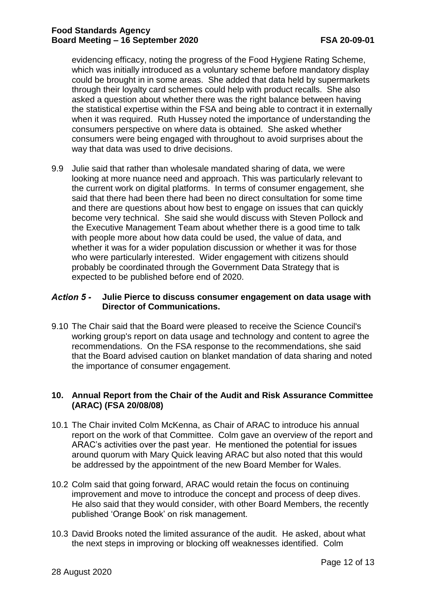evidencing efficacy, noting the progress of the Food Hygiene Rating Scheme, which was initially introduced as a voluntary scheme before mandatory display could be brought in in some areas. She added that data held by supermarkets through their loyalty card schemes could help with product recalls. She also asked a question about whether there was the right balance between having the statistical expertise within the FSA and being able to contract it in externally when it was required. Ruth Hussey noted the importance of understanding the consumers perspective on where data is obtained. She asked whether consumers were being engaged with throughout to avoid surprises about the way that data was used to drive decisions.

9.9 Julie said that rather than wholesale mandated sharing of data, we were looking at more nuance need and approach. This was particularly relevant to the current work on digital platforms. In terms of consumer engagement, she said that there had been there had been no direct consultation for some time and there are questions about how best to engage on issues that can quickly become very technical. She said she would discuss with Steven Pollock and the Executive Management Team about whether there is a good time to talk with people more about how data could be used, the value of data, and whether it was for a wider population discussion or whether it was for those who were particularly interested. Wider engagement with citizens should probably be coordinated through the Government Data Strategy that is expected to be published before end of 2020.

#### **Julie Pierce to discuss consumer engagement on data usage with Action 5 -Director of Communications.**

9.10 The Chair said that the Board were pleased to receive the Science Council's working group's report on data usage and technology and content to agree the recommendations. On the FSA response to the recommendations, she said that the Board advised caution on blanket mandation of data sharing and noted the importance of consumer engagement.

## **10. Annual Report from the Chair of the Audit and Risk Assurance Committee (ARAC) (FSA 20/08/08)**

- 10.1 The Chair invited Colm McKenna, as Chair of ARAC to introduce his annual report on the work of that Committee. Colm gave an overview of the report and ARAC's activities over the past year. He mentioned the potential for issues around quorum with Mary Quick leaving ARAC but also noted that this would be addressed by the appointment of the new Board Member for Wales.
- 10.2 Colm said that going forward, ARAC would retain the focus on continuing improvement and move to introduce the concept and process of deep dives. He also said that they would consider, with other Board Members, the recently published 'Orange Book' on risk management.
- 10.3 David Brooks noted the limited assurance of the audit. He asked, about what the next steps in improving or blocking off weaknesses identified. Colm